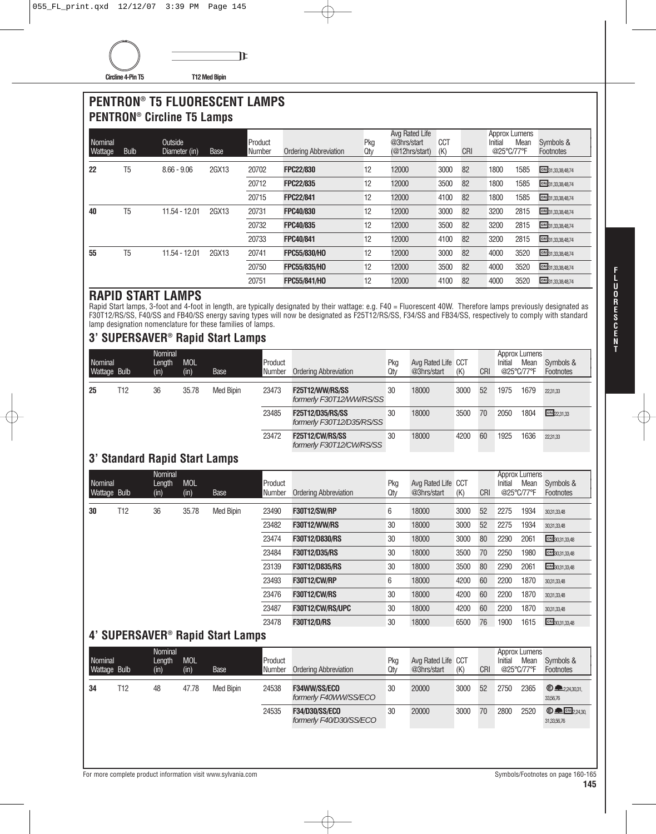## **PENTRON® T5 FLUORESCENT LAMPS PENTRON® Circline T5 Lamps**

| Nominal<br>Wattage | <b>Bulb</b> | Outside<br>Diameter (in) | Base  | Product<br>Number | <b>Ordering Abbreviation</b> | Pkg<br>Qty | Avg Rated Life<br>@3hrs/start<br>(@12hrs/start) | <b>CCT</b><br>(K) | <b>CRI</b> | Approx Lumens<br>Initial<br>@25°C/77°F | Mean | Symbols &<br>Footnotes |
|--------------------|-------------|--------------------------|-------|-------------------|------------------------------|------------|-------------------------------------------------|-------------------|------------|----------------------------------------|------|------------------------|
| 22                 | T5          | $8.66 - 9.06$            | 2GX13 | 20702             | <b>FPC22/830</b>             | 12         | 12000                                           | 3000              | 82         | 1800                                   | 1585 | CRI 31,33,38,48,74     |
|                    |             |                          |       | 20712             | <b>FPC22/835</b>             | 12         | 12000                                           | 3500              | 82         | 1800                                   | 1585 | CRI 31,33,38,48,74     |
|                    |             |                          |       | 20715             | <b>FPC22/841</b>             | 12         | 12000                                           | 4100              | 82         | 1800                                   | 1585 | CRI 31,33,38,48,74     |
| 40                 | T5          | 11.54 - 12.01            | 2GX13 | 20731             | FPC40/830                    | 12         | 12000                                           | 3000              | 82         | 3200                                   | 2815 | CRI 31,33,38,48,74     |
|                    |             |                          |       | 20732             | FPC40/835                    | 12         | 12000                                           | 3500              | 82         | 3200                                   | 2815 | CRI 31,33,38,48,74     |
|                    |             |                          |       | 20733             | FPC40/841                    | 12         | 12000                                           | 4100              | 82         | 3200                                   | 2815 | CRI 31,33,38,48,74     |
| 55                 | T5          | 11.54 - 12.01            | 2GX13 | 20741             | FPC55/830/HO                 | 12         | 12000                                           | 3000              | 82         | 4000                                   | 3520 | CRI 31,33,38,48,74     |
|                    |             |                          |       | 20750             | FPC55/835/HO                 | 12         | 12000                                           | 3500              | 82         | 4000                                   | 3520 | CRI 31,33,38,48,74     |
|                    |             |                          |       | 20751             | FPC55/841/HO                 | 12         | 12000                                           | 4100              | 82         | 4000                                   | 3520 | CRI 31,33,38,48,74     |

## **RAPID START LAMPS**

Rapid Start lamps, 3-foot and 4-foot in length, are typically designated by their wattage: e.g. F40 = Fluorescent 40W. Therefore lamps previously designated as F30T12/RS/SS, F40/SS and FB40/SS energy saving types will now be designated as F25T12/RS/SS, F34/SS and FB34/SS, respectively to comply with standard lamp designation nomenclature for these families of lamps.

## **3' SUPERSAVER® Rapid Start Lamps**

|                                |                               | Nominal                   |                    |                                              |                          |                                                    |            |                                   |      |            |                       | <b>Approx Lumens</b>         |                                                   |
|--------------------------------|-------------------------------|---------------------------|--------------------|----------------------------------------------|--------------------------|----------------------------------------------------|------------|-----------------------------------|------|------------|-----------------------|------------------------------|---------------------------------------------------|
| Nominal<br>Wattage Bulb        |                               | Length<br>(in)            | <b>MOL</b><br>(in) | Base                                         | Product<br><b>Number</b> | <b>Ordering Abbreviation</b>                       | Pkg<br>Qtv | Avg Rated Life CCT<br>@3hrs/start | (K)  | <b>CRI</b> | Initial<br>@25°C/77°F | Mean                         | Symbols &<br>Footnotes                            |
| 25                             | T <sub>12</sub>               | 36                        | 35.78              | Med Bipin                                    | 23473                    | F25T12/WW/RS/SS<br>formerly F30T12/WW/RS/SS        | 30         | 18000                             | 3000 | 52         | 1975                  | 1679                         | 22,31,33                                          |
|                                |                               |                           |                    |                                              | 23485                    | F25T12/D35/RS/SS<br>formerly F30T12/D35/RS/SS      | 30         | 18000                             | 3500 | 70         | 2050                  | 1804                         | $CRI$ 22.31.33                                    |
|                                |                               |                           |                    |                                              | 23472                    | <b>F25T12/CW/RS/SS</b><br>formerly F30T12/CW/RS/SS | 30         | 18000                             | 4200 | 60         | 1925                  | 1636                         | 22,31,33                                          |
|                                | 3' Standard Rapid Start Lamps |                           |                    |                                              |                          |                                                    |            |                                   |      |            |                       |                              |                                                   |
| Nominal<br>Wattage Bulb        |                               | Nominal<br>Length<br>(in) | <b>MOL</b><br>(in) | Base                                         | Product<br>Number        | <b>Ordering Abbreviation</b>                       | Pkg<br>Qty | Avg Rated Life CCT<br>@3hrs/start | (K)  | CRI        | Initial<br>@25°C/77°F | <b>Approx Lumens</b><br>Mean | Symbols &<br>Footnotes                            |
| 30                             | T12                           | 36                        | 35.78              | <b>Med Bipin</b>                             | 23490                    | <b>F30T12/SW/RP</b>                                | 6          | 18000                             | 3000 | 52         | 2275                  | 1934                         | 30,31,33,48                                       |
|                                |                               |                           |                    |                                              | 23482                    | <b>F30T12/WW/RS</b>                                | 30         | 18000                             | 3000 | 52         | 2275                  | 1934                         | 30,31,33,48                                       |
|                                |                               |                           |                    |                                              | 23474                    | F30T12/D830/RS                                     | 30         | 18000                             | 3000 | 80         | 2290                  | 2061                         | CRI 30.31.33.48                                   |
|                                |                               |                           |                    |                                              | 23484                    | F30T12/D35/RS                                      | 30         | 18000                             | 3500 | 70         | 2250                  | 1980                         | CRI30.31.33.48                                    |
|                                |                               |                           |                    |                                              | 23139                    | F30T12/D835/RS                                     | 30         | 18000                             | 3500 | 80         | 2290                  | 2061                         | CRI30.31.33.48                                    |
|                                |                               |                           |                    |                                              | 23493                    | <b>F30T12/CW/RP</b>                                | 6          | 18000                             | 4200 | 60         | 2200                  | 1870                         | 30,31,33,48                                       |
|                                |                               |                           |                    |                                              | 23476                    | <b>F30T12/CW/RS</b>                                | 30         | 18000                             | 4200 | 60         | 2200                  | 1870                         | 30,31,33,48                                       |
|                                |                               |                           |                    |                                              | 23487                    | F30T12/CW/RS/UPC                                   | 30         | 18000                             | 4200 | 60         | 2200                  | 1870                         | 30,31,33,48                                       |
|                                |                               |                           |                    |                                              | 23478                    | <b>F30T12/D/RS</b>                                 | 30         | 18000                             | 6500 | 76         | 1900                  | 1615                         | CRI 30,31,33,48                                   |
|                                |                               |                           |                    | 4' SUPERSAVER <sup>®</sup> Rapid Start Lamps |                          |                                                    |            |                                   |      |            |                       |                              |                                                   |
| <b>Nominal</b><br>Wattage Bulb |                               | Nominal<br>Length<br>(in) | <b>MOL</b><br>(in) | Base                                         | Product<br>Number        | <b>Ordering Abbreviation</b>                       | Pkg<br>Qty | Avg Rated Life CCT<br>@3hrs/start | (K)  | <b>CRI</b> | Initial<br>@25°C/77°F | <b>Approx Lumens</b><br>Mean | Symbols &<br>Footnotes                            |
| 34                             | T <sub>12</sub>               | 48                        | 47.78              | <b>Med Bipin</b>                             | 24538                    | F34WW/SS/ECO<br>formerly F40WW/SS/ECO              | 30         | 20000                             | 3000 | 52         | 2750                  | 2365                         | <b>E</b> 2243031<br>33,56,76                      |
|                                |                               |                           |                    |                                              | 24535                    | <b>F34/D30/SS/ECO</b><br>formerly F40/D30/SS/ECO   | 30         | 20000                             | 3000 | 70         | 2800                  | 2520                         | $© \blacksquare \blacksquare 2430$<br>31,33,56,76 |
|                                |                               |                           |                    |                                              |                          |                                                    |            |                                   |      |            |                       |                              |                                                   |

**T**